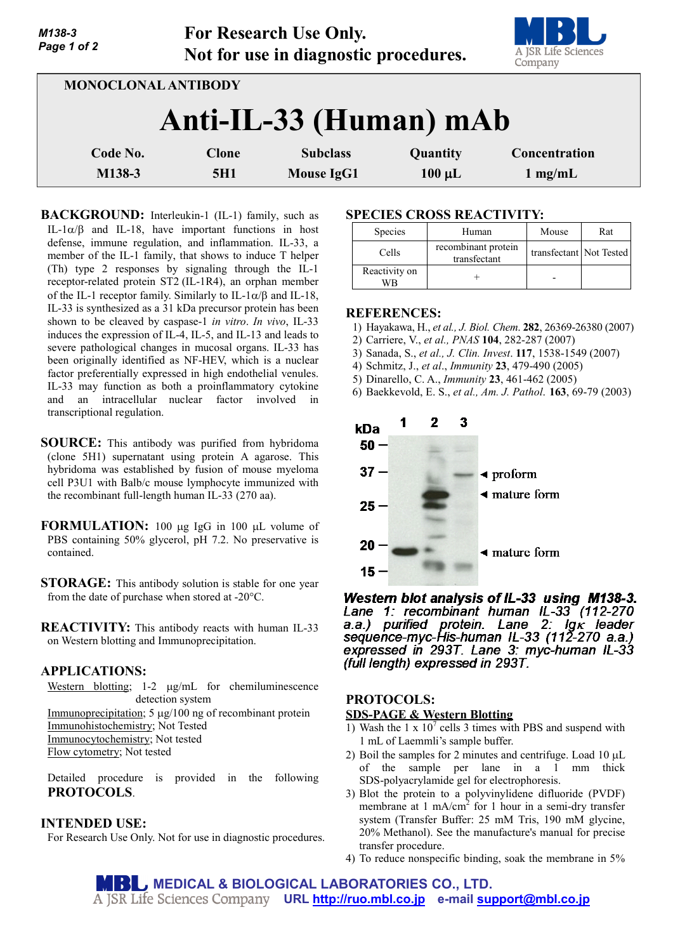| M138-3<br>Page 1 of 2  |                            | <b>For Research Use Only.</b><br>Not for use in diagnostic procedures. |                         | A JSR Life Sciences<br>Company     |  |
|------------------------|----------------------------|------------------------------------------------------------------------|-------------------------|------------------------------------|--|
| MONOCLONAL ANTIBODY    |                            |                                                                        |                         |                                    |  |
| Anti-IL-33 (Human) mAb |                            |                                                                        |                         |                                    |  |
| Code No.<br>M138-3     | <b>Clone</b><br><b>5H1</b> | <b>Subclass</b><br><b>Mouse IgG1</b>                                   | Quantity<br>$100 \mu L$ | Concentration<br>$1 \text{ mg/mL}$ |  |

**For Research Use Only.**

**BACKGROUND:** Interleukin-1 (IL-1) family, such as IL-1 $\alpha$ /β and IL-18, have important functions in host defense, immune regulation, and inflammation. IL-33, a member of the IL-1 family, that shows to induce T helper (Th) type 2 responses by signaling through the IL-1 receptor-related protein ST2 (IL-1R4), an orphan member of the IL-1 receptor family. Similarly to IL-1 $\alpha$ / $\beta$  and IL-18, IL-33 is synthesized as a 31 kDa precursor protein has been shown to be cleaved by caspase-1 *in vitro*. *In vivo*, IL-33 induces the expression of IL-4, IL-5, and IL-13 and leads to severe pathological changes in mucosal organs. IL-33 has been originally identified as NF-HEV, which is a nuclear factor preferentially expressed in high endothelial venules. IL-33 may function as both a proinflammatory cytokine and an intracellular nuclear factor involved in transcriptional regulation.

- **SOURCE:** This antibody was purified from hybridoma (clone 5H1) supernatant using protein A agarose. This hybridoma was established by fusion of mouse myeloma cell P3U1 with Balb/c mouse lymphocyte immunized with the recombinant full-length human IL-33 (270 aa).
- **FORMULATION:** 100 µg IgG in 100 µL volume of PBS containing 50% glycerol, pH 7.2. No preservative is contained.
- **STORAGE:** This antibody solution is stable for one year from the date of purchase when stored at -20°C.

**REACTIVITY:** This antibody reacts with human IL-33 on Western blotting and Immunoprecipitation.

### **APPLICATIONS:**

Western blotting; 1-2  $\mu$ g/mL for chemiluminescence detection system Immunoprecipitation; 5  $\mu$ g/100 ng of recombinant protein

Immunohistochemistry; Not Tested Immunocytochemistry; Not tested Flow cytometry; Not tested

Detailed procedure is provided in the following **PROTOCOLS**.

### **INTENDED USE:**

For Research Use Only. Not for use in diagnostic procedures.

### **SPECIES CROSS REACTIVITY:**

| <b>Species</b>      | Human                               | Mouse                   | Rat |
|---------------------|-------------------------------------|-------------------------|-----|
| Cells               | recombinant protein<br>transfectant | transfectant Not Tested |     |
| Reactivity on<br>WВ |                                     |                         |     |

#### **REFERENCES:**

- 1) Hayakawa, H., *et al., J. Biol. Chem*. **282**, 26369-26380 (2007)
- 2) Carriere, V., *et al., PNAS* **104**, 282-287 (2007)
- 3) Sanada, S., *et al., J. Clin. Invest*. **117**, 1538-1549 (2007)
- 4) Schmitz, J., *et al*., *Immunity* **23**, 479-490 (2005) 5) Dinarello, C. A., *Immunity* **23**, 461-462 (2005)
- 6) Baekkevold, E. S., *et al., Am. J. Pathol*. **163**, 69-79 (2003)



Western blot analysis of IL-33 using M138-3. Lane 1: recombinant human IL-33 (112-270 a.a.) purified protein. Lane 2: Ig k leader<br>sequence-myc-His-human IL-33 (112-270 a.a.) expressed in 293T. Lane 3: myc-human IL-33 (full length) expressed in 293T.

# **PROTOCOLS:**

#### **SDS-PAGE & Western Blotting**

- 1) Wash the 1 x  $10^7$  cells 3 times with PBS and suspend with 1 mL of Laemmli's sample buffer.
- 2) Boil the samples for 2 minutes and centrifuge. Load 10  $\mu$ L of the sample per lane in a 1 mm thick SDS-polyacrylamide gel for electrophoresis.
- 3) Blot the protein to a polyvinylidene difluoride (PVDF) membrane at  $1 \text{ mA/cm}^2$  for 1 hour in a semi-dry transfer system (Transfer Buffer: 25 mM Tris, 190 mM glycine, 20% Methanol). See the manufacture's manual for precise transfer procedure.
- 4) To reduce nonspecific binding, soak the membrane in 5%

**MEDICAL & BIOLOGICAL LABORATORIES CO., LTD. URL [http://ruo.mbl.co.jp](https://ruo.mbl.co.jp/) e-mail [support@mbl.co.jp](mailto:support@mbl.co.jp)**